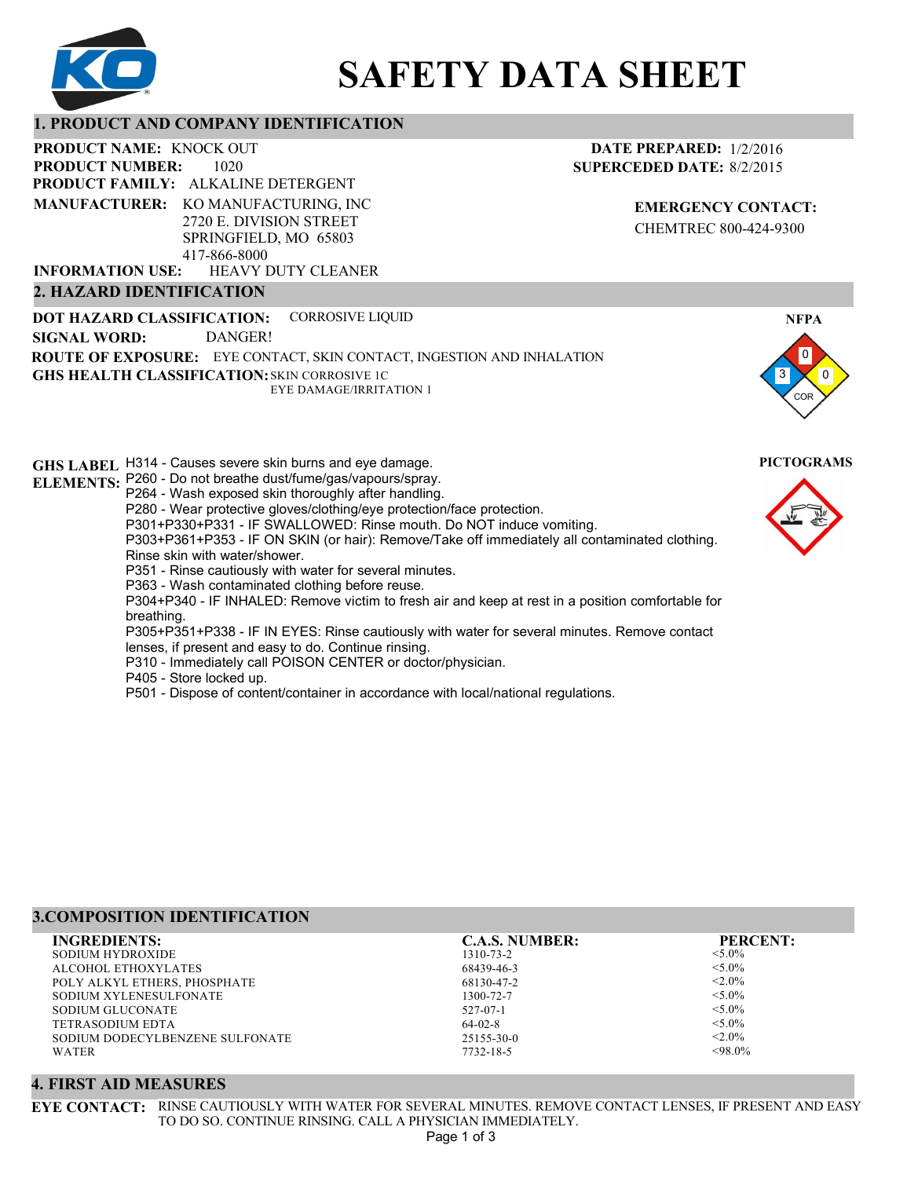

# **SAFETY DATA SHEET**

# **1. PRODUCT AND COMPANY IDENTIFICATION**

1020 **PRODUCT NAME: KNOCK OUT PRODUCT FAMILY: ALKALINE DETERGENT** HEAVY DUTY CLEANER **PRODUCT NUMBER: MANUFACTURER:** KO MANUFACTURING, INC 2720 E. DIVISION STREET SPRINGFIELD, MO 65803 417-866-8000 **INFORMATION USE:**

# **2. HAZARD IDENTIFICATION**

**DOT HAZARD CLASSIFICATION: GHS HEALTH CLASSIFICATION:** SKIN CORROSIVE 1C **ROUTE OF EXPOSURE:** EYE CONTACT, SKIN CONTACT, INGESTION AND INHALATION CORROSIVE LIQUID EYE DAMAGE/IRRITATION 1 **SIGNAL WORD:** DANGER!

**GHS LABEL**  H314 - Causes severe skin burns and eye damage. **PICTOGRAMS ELEMENTS:** P260 - Do not breathe dust/fume/gas/vapours/spray. P264 - Wash exposed skin thoroughly after handling. P280 - Wear protective gloves/clothing/eye protection/face protection. P301+P330+P331 - IF SWALLOWED: Rinse mouth. Do NOT induce vomiting. P303+P361+P353 - IF ON SKIN (or hair): Remove/Take off immediately all contaminated clothing. Rinse skin with water/shower. P351 - Rinse cautiously with water for several minutes. P363 - Wash contaminated clothing before reuse. P304+P340 - IF INHALED: Remove victim to fresh air and keep at rest in a position comfortable for breathing. P305+P351+P338 - IF IN EYES: Rinse cautiously with water for several minutes. Remove contact lenses, if present and easy to do. Continue rinsing. P310 - Immediately call POISON CENTER or doctor/physician. P405 - Store locked up. P501 - Dispose of content/container in accordance with local/national regulations.

| <b>3. COMPOSITION IDENTIFICATION</b> |                       |                 |
|--------------------------------------|-----------------------|-----------------|
| <b>INGREDIENTS:</b>                  | <b>C.A.S. NUMBER:</b> | <b>PERCENT:</b> |
| SODIUM HYDROXIDE                     | 1310-73-2             | $< 5.0\%$       |
| ALCOHOL ETHOXYLATES                  | 68439-46-3            | $< 5.0\%$       |
| POLY ALKYL ETHERS, PHOSPHATE         | 68130-47-2            | $< 2.0\%$       |
| SODIUM XYLENESULFONATE               | 1300-72-7             | $< 5.0\%$       |
| SODIUM GLUCONATE                     | $527 - 07 - 1$        | $< 5.0\%$       |
| <b>TETRASODIUM EDTA</b>              | $64-02-8$             | $< 5.0\%$       |
| SODIUM DODECYLBENZENE SULFONATE      | $25155 - 30 - 0$      | $< 2.0\%$       |
| WATER                                | 7732-18-5             | $<98.0\%$       |

# **4. FIRST AID MEASURES**

**EYE CONTACT:** RINSE CAUTIOUSLY WITH WATER FOR SEVERAL MINUTES. REMOVE CONTACT LENSES, IF PRESENT AND EASY TO DO SO. CONTINUE RINSING. CALL A PHYSICIAN IMMEDIATELY.



**NFPA**





**DATE PREPARED:** 1/2/2016

# Page 1 of 3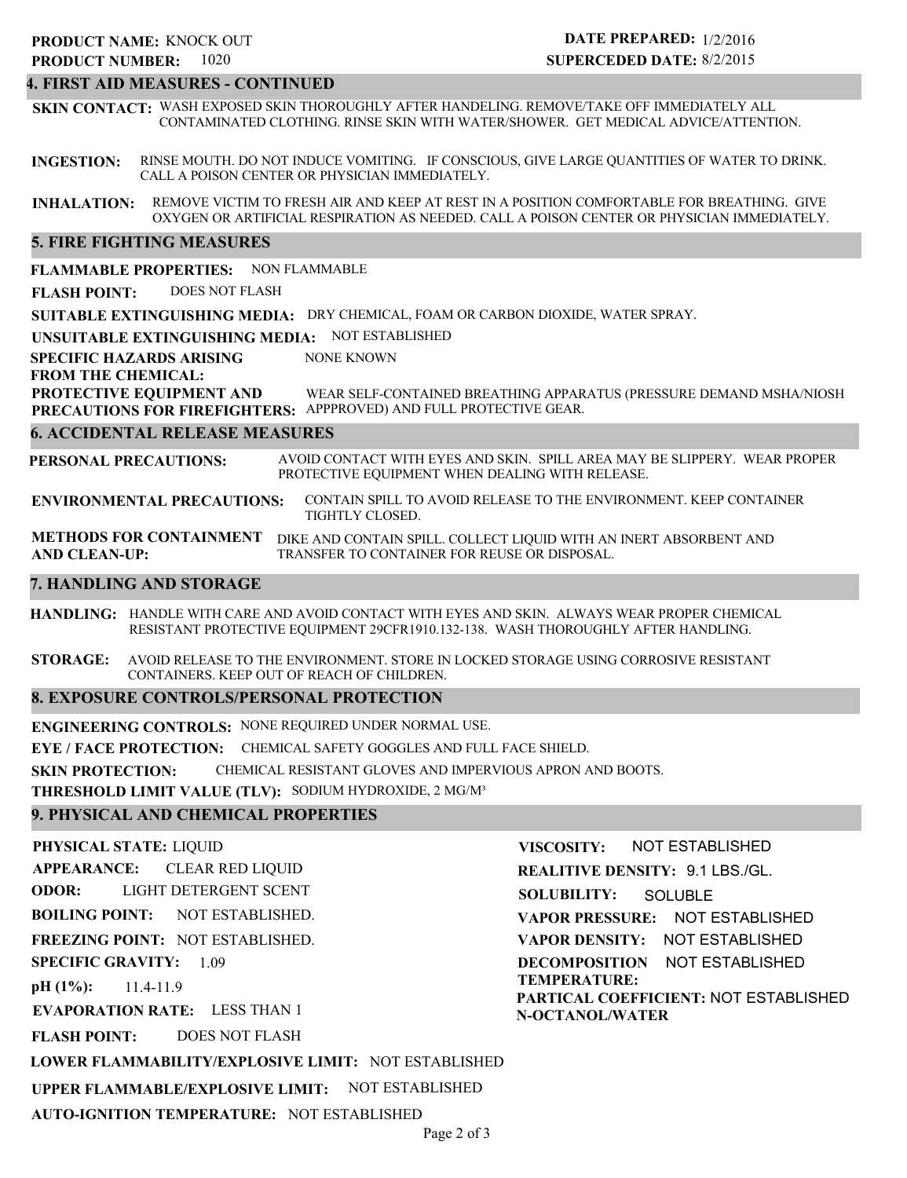# 1020 **PRODUCT NUMBER: PRODUCT NAME: KNOCK OUT**

# **DATE PREPARED:** 1/2/2016 **SUPERCEDED DATE:** 8/2/2015

# **4. FIRST AID MEASURES - CONTINUED**

**SKIN CONTACT:** WASH EXPOSED SKIN THOROUGHLY AFTER HANDELING. REMOVE/TAKE OFF IMMEDIATELY ALL CONTAMINATED CLOTHING. RINSE SKIN WITH WATER/SHOWER. GET MEDICAL ADVICE/ATTENTION.

**INGESTION:** RINSE MOUTH. DO NOT INDUCE VOMITING. IF CONSCIOUS, GIVE LARGE QUANTITIES OF WATER TO DRINK. CALL A POISON CENTER OR PHYSICIAN IMMEDIATELY.

**INHALATION:** REMOVE VICTIM TO FRESH AIR AND KEEP AT REST IN A POSITION COMFORTABLE FOR BREATHING. GIVE OXYGEN OR ARTIFICIAL RESPIRATION AS NEEDED. CALL A POISON CENTER OR PHYSICIAN IMMEDIATELY.

# **5. FIRE FIGHTING MEASURES**

**6. ACCIDENTAL RELEASE MEASURES 7. HANDLING AND STORAGE SUITABLE EXTINGUISHING MEDIA:** DRY CHEMICAL, FOAM OR CARBON DIOXIDE, WATER SPRAY. **UNSUITABLE EXTINGUISHING MEDIA:** NOT ESTABLISHED **SPECIFIC HAZARDS ARISING FROM THE CHEMICAL: FLAMMABLE PROPERTIES:** NON FLAMMABLE **ENVIRONMENTAL PRECAUTIONS: METHODS FOR CONTAINMENT** DIKE AND CONTAIN SPILL. COLLECT LIQUID WITH AN INERT ABSORBENT AND **AND CLEAN-UP: PROTECTIVE EQUIPMENT AND PRECAUTIONS FOR FIREFIGHTERS:** APPPROVED) AND FULL PROTECTIVE GEAR. **PERSONAL PRECAUTIONS:** AVOID CONTACT WITH EYES AND SKIN. SPILL AREA MAY BE SLIPPERY. WEAR PROPER PROTECTIVE EQUIPMENT WHEN DEALING WITH RELEASE. CONTAIN SPILL TO AVOID RELEASE TO THE ENVIRONMENT. KEEP CONTAINER TIGHTLY CLOSED. TRANSFER TO CONTAINER FOR REUSE OR DISPOSAL. NONE KNOWN WEAR SELF-CONTAINED BREATHING APPARATUS (PRESSURE DEMAND MSHA/NIOSH **FLASH POINT:** DOES NOT FLASH

**HANDLING:** HANDLE WITH CARE AND AVOID CONTACT WITH EYES AND SKIN. ALWAYS WEAR PROPER CHEMICAL RESISTANT PROTECTIVE EQUIPMENT 29CFR1910.132-138. WASH THOROUGHLY AFTER HANDLING.

**STORAGE:** AVOID RELEASE TO THE ENVIRONMENT. STORE IN LOCKED STORAGE USING CORROSIVE RESISTANT CONTAINERS. KEEP OUT OF REACH OF CHILDREN.

# **8. EXPOSURE CONTROLS/PERSONAL PROTECTION**

**ENGINEERING CONTROLS:** NONE REQUIRED UNDER NORMAL USE. **EYE / FACE PROTECTION:** CHEMICAL SAFETY GOGGLES AND FULL FACE SHIELD. **SKIN PROTECTION:** CHEMICAL RESISTANT GLOVES AND IMPERVIOUS APRON AND BOOTS. **THRESHOLD LIMIT VALUE (TLV):** SODIUM HYDROXIDE, 2 MG/M³

# **9. PHYSICAL AND CHEMICAL PROPERTIES**

**PHYSICAL STATE:** LIQUID **APPEARANCE: ODOR: BOILING POINT: FREEZING POINT:** NOT ESTABLISHED. **SPECIFIC GRAVITY:** 1.09 **pH (1%): EVAPORATION RATE:** LESS THAN 1 **FLASH POINT: LOWER FLAMMABILITY/EXPLOSIVE LIMIT:** NOT ESTABLISHED **UPPER FLAMMABLE/EXPLOSIVE LIMIT:** NOT ESTABLISHED NOT ESTABLISHED. 11.4-11.9 DOES NOT FLASH CLEAR RED LIQUID LIGHT DETERGENT SCENT

**AUTO-IGNITION TEMPERATURE:** NOT ESTABLISHED

**VISCOSITY: REALITIVE DENSITY:** 9.1 LBS./GL. **SOLUBILITY: VAPOR PRESSURE:** NOT ESTABLISHED **VAPOR DENSITY:** NOT ESTABLISHED **DECOMPOSITION** NOT ESTABLISHED **TEMPERATURE: PARTICAL COEFFICIENT:** NOT ESTABLISHED **N-OCTANOL/WATER** NOT ESTABLISHED **SOLUBLE**